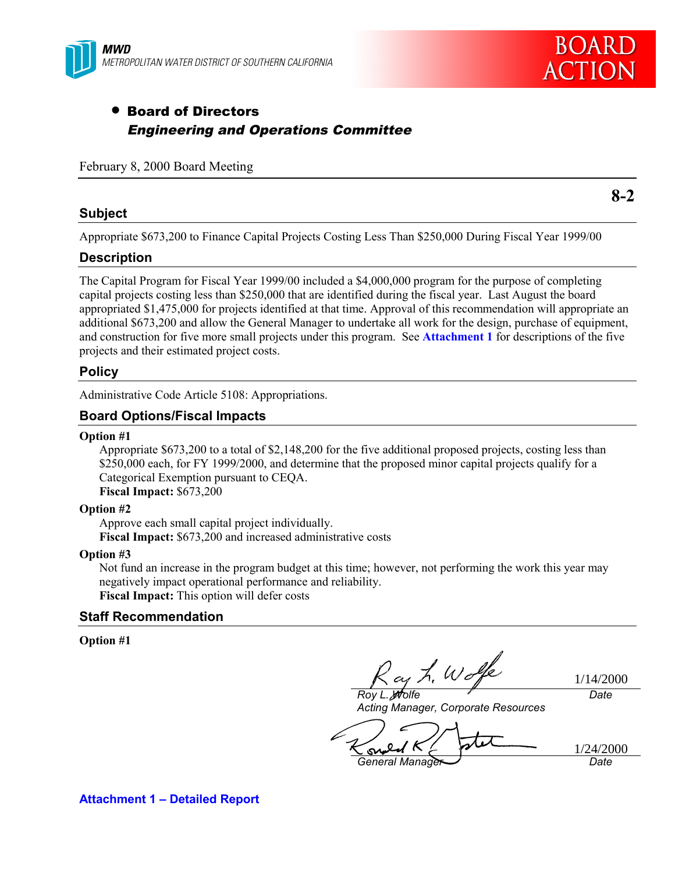



**8-2**

# • Board of Directors Engineering and Operations Committee

### February 8, 2000 Board Meeting

### **Subject**

Appropriate \$673,200 to Finance Capital Projects Costing Less Than \$250,000 During Fiscal Year 1999/00

# **Description**

The Capital Program for Fiscal Year 1999/00 included a \$4,000,000 program for the purpose of completing capital projects costing less than \$250,000 that are identified during the fiscal year. Last August the board appropriated \$1,475,000 for projects identified at that time. Approval of this recommendation will appropriate an additional \$673,200 and allow the General Manager to undertake all work for the design, purchase of equipment, and construction for five more small projects under this program. See **Attachment 1** for descriptions of the five projects and their estimated project costs.

### **Policy**

Administrative Code Article 5108: Appropriations.

# **Board Options/Fiscal Impacts**

#### **Option #1**

Appropriate \$673,200 to a total of \$2,148,200 for the five additional proposed projects, costing less than \$250,000 each, for FY 1999/2000, and determine that the proposed minor capital projects qualify for a Categorical Exemption pursuant to CEQA.

# **Fiscal Impact:** \$673,200

#### **Option #2**

Approve each small capital project individually. **Fiscal Impact:** \$673,200 and increased administrative costs

#### **Option #3**

Not fund an increase in the program budget at this time; however, not performing the work this year may negatively impact operational performance and reliability. **Fiscal Impact:** This option will defer costs

### **Staff Recommendation**

#### **Option #1**

ay L. Wo *Roy L. Wolfe*

1/14/2000

*Date*

*Acting Manager, Corporate Resources*

1/24/2000 $\sim$ *General Manager Date*

**Attachment 1 – Detailed Report**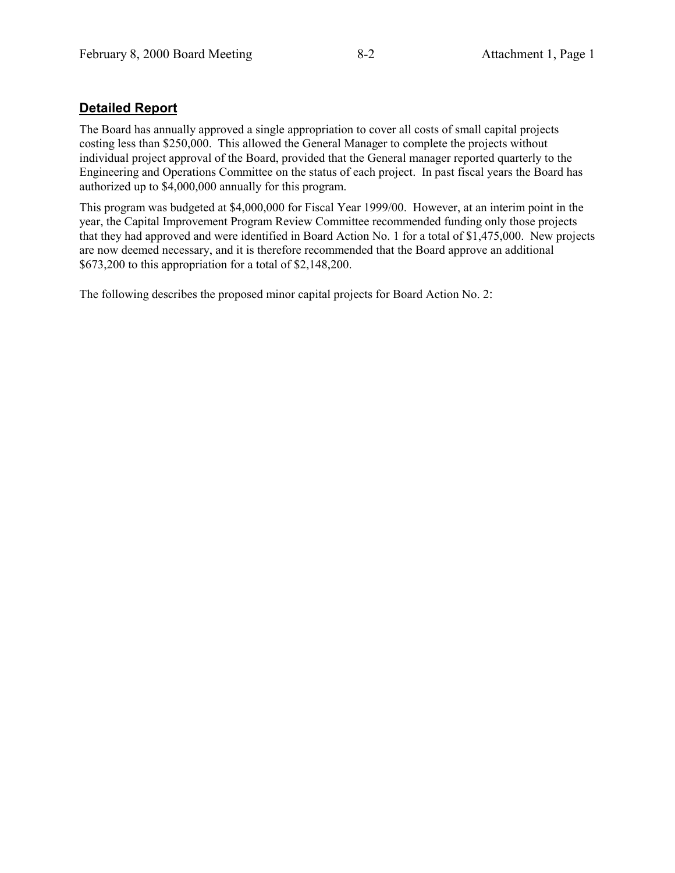# **Detailed Report**

The Board has annually approved a single appropriation to cover all costs of small capital projects costing less than \$250,000. This allowed the General Manager to complete the projects without individual project approval of the Board, provided that the General manager reported quarterly to the Engineering and Operations Committee on the status of each project. In past fiscal years the Board has authorized up to \$4,000,000 annually for this program.

This program was budgeted at \$4,000,000 for Fiscal Year 1999/00. However, at an interim point in the year, the Capital Improvement Program Review Committee recommended funding only those projects that they had approved and were identified in Board Action No. 1 for a total of \$1,475,000. New projects are now deemed necessary, and it is therefore recommended that the Board approve an additional \$673,200 to this appropriation for a total of \$2,148,200.

The following describes the proposed minor capital projects for Board Action No. 2: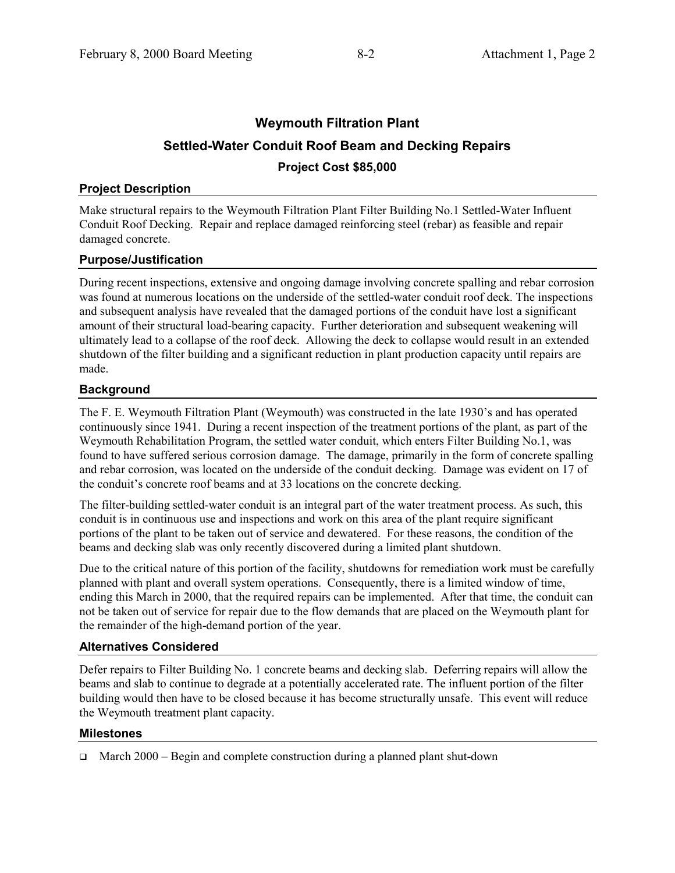# **Weymouth Filtration Plant Settled-Water Conduit Roof Beam and Decking Repairs Project Cost \$85,000**

# **Project Description**

Make structural repairs to the Weymouth Filtration Plant Filter Building No.1 Settled-Water Influent Conduit Roof Decking. Repair and replace damaged reinforcing steel (rebar) as feasible and repair damaged concrete.

# **Purpose/Justification**

During recent inspections, extensive and ongoing damage involving concrete spalling and rebar corrosion was found at numerous locations on the underside of the settled-water conduit roof deck. The inspections and subsequent analysis have revealed that the damaged portions of the conduit have lost a significant amount of their structural load-bearing capacity. Further deterioration and subsequent weakening will ultimately lead to a collapse of the roof deck. Allowing the deck to collapse would result in an extended shutdown of the filter building and a significant reduction in plant production capacity until repairs are made.

# **Background**

The F. E. Weymouth Filtration Plant (Weymouth) was constructed in the late 1930's and has operated continuously since 1941. During a recent inspection of the treatment portions of the plant, as part of the Weymouth Rehabilitation Program, the settled water conduit, which enters Filter Building No.1, was found to have suffered serious corrosion damage. The damage, primarily in the form of concrete spalling and rebar corrosion, was located on the underside of the conduit decking. Damage was evident on 17 of the conduit's concrete roof beams and at 33 locations on the concrete decking.

The filter-building settled-water conduit is an integral part of the water treatment process. As such, this conduit is in continuous use and inspections and work on this area of the plant require significant portions of the plant to be taken out of service and dewatered. For these reasons, the condition of the beams and decking slab was only recently discovered during a limited plant shutdown.

Due to the critical nature of this portion of the facility, shutdowns for remediation work must be carefully planned with plant and overall system operations. Consequently, there is a limited window of time, ending this March in 2000, that the required repairs can be implemented. After that time, the conduit can not be taken out of service for repair due to the flow demands that are placed on the Weymouth plant for the remainder of the high-demand portion of the year.

# **Alternatives Considered**

Defer repairs to Filter Building No. 1 concrete beams and decking slab. Deferring repairs will allow the beams and slab to continue to degrade at a potentially accelerated rate. The influent portion of the filter building would then have to be closed because it has become structurally unsafe. This event will reduce the Weymouth treatment plant capacity.

# **Milestones**

 $\Box$  March 2000 – Begin and complete construction during a planned plant shut-down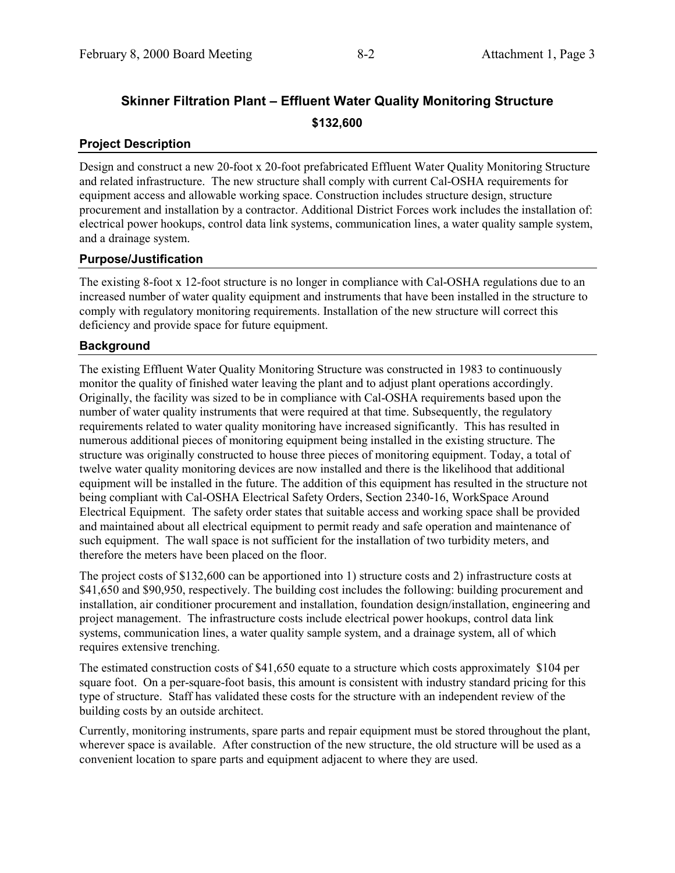# **Skinner Filtration Plant – Effluent Water Quality Monitoring Structure \$132,600**

# **Project Description**

Design and construct a new 20-foot x 20-foot prefabricated Effluent Water Quality Monitoring Structure and related infrastructure. The new structure shall comply with current Cal-OSHA requirements for equipment access and allowable working space. Construction includes structure design, structure procurement and installation by a contractor. Additional District Forces work includes the installation of: electrical power hookups, control data link systems, communication lines, a water quality sample system, and a drainage system.

# **Purpose/Justification**

The existing 8-foot x 12-foot structure is no longer in compliance with Cal-OSHA regulations due to an increased number of water quality equipment and instruments that have been installed in the structure to comply with regulatory monitoring requirements. Installation of the new structure will correct this deficiency and provide space for future equipment.

# **Background**

The existing Effluent Water Quality Monitoring Structure was constructed in 1983 to continuously monitor the quality of finished water leaving the plant and to adjust plant operations accordingly. Originally, the facility was sized to be in compliance with Cal-OSHA requirements based upon the number of water quality instruments that were required at that time. Subsequently, the regulatory requirements related to water quality monitoring have increased significantly. This has resulted in numerous additional pieces of monitoring equipment being installed in the existing structure. The structure was originally constructed to house three pieces of monitoring equipment. Today, a total of twelve water quality monitoring devices are now installed and there is the likelihood that additional equipment will be installed in the future. The addition of this equipment has resulted in the structure not being compliant with Cal-OSHA Electrical Safety Orders, Section 2340-16, WorkSpace Around Electrical Equipment. The safety order states that suitable access and working space shall be provided and maintained about all electrical equipment to permit ready and safe operation and maintenance of such equipment. The wall space is not sufficient for the installation of two turbidity meters, and therefore the meters have been placed on the floor.

The project costs of \$132,600 can be apportioned into 1) structure costs and 2) infrastructure costs at \$41,650 and \$90,950, respectively. The building cost includes the following: building procurement and installation, air conditioner procurement and installation, foundation design/installation, engineering and project management. The infrastructure costs include electrical power hookups, control data link systems, communication lines, a water quality sample system, and a drainage system, all of which requires extensive trenching.

The estimated construction costs of \$41,650 equate to a structure which costs approximately \$104 per square foot. On a per-square-foot basis, this amount is consistent with industry standard pricing for this type of structure. Staff has validated these costs for the structure with an independent review of the building costs by an outside architect.

Currently, monitoring instruments, spare parts and repair equipment must be stored throughout the plant, wherever space is available. After construction of the new structure, the old structure will be used as a convenient location to spare parts and equipment adjacent to where they are used.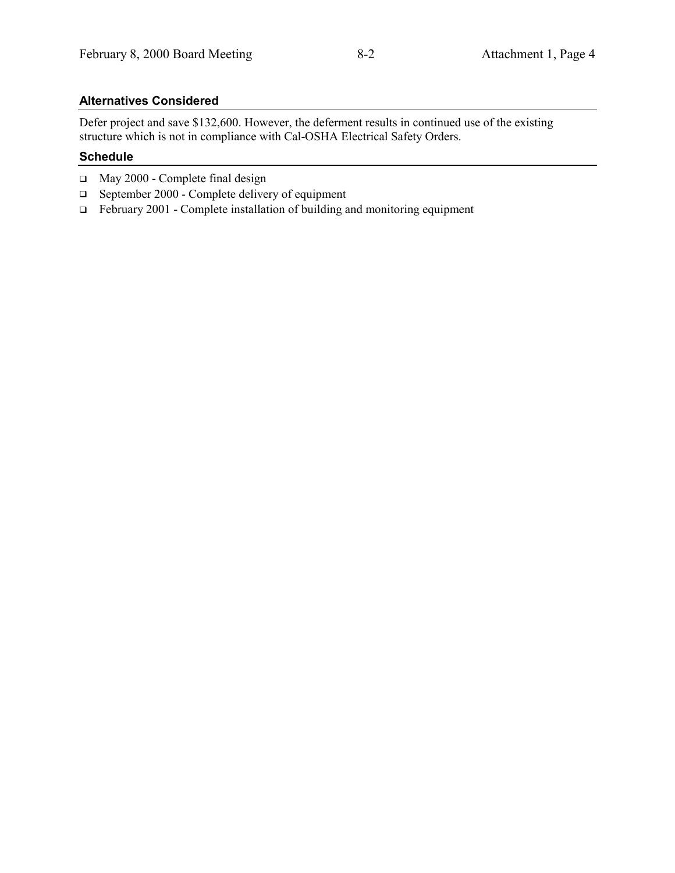# **Alternatives Considered**

Defer project and save \$132,600. However, the deferment results in continued use of the existing structure which is not in compliance with Cal-OSHA Electrical Safety Orders.

# **Schedule**

- □ May 2000 Complete final design
- $\Box$  September 2000 Complete delivery of equipment
- $\Box$  February 2001 Complete installation of building and monitoring equipment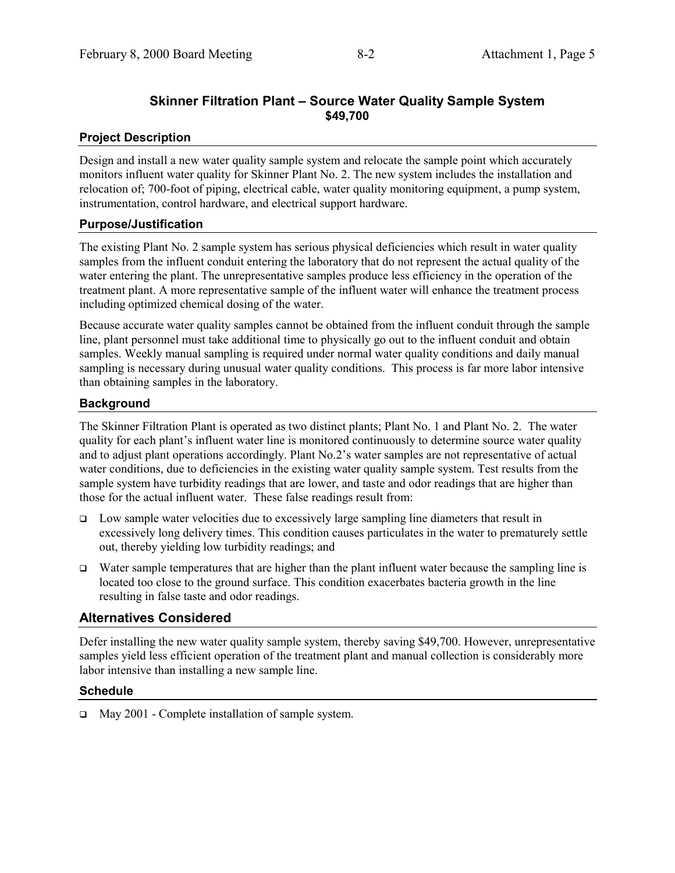# **Skinner Filtration Plant – Source Water Quality Sample System \$49,700**

# **Project Description**

Design and install a new water quality sample system and relocate the sample point which accurately monitors influent water quality for Skinner Plant No. 2. The new system includes the installation and relocation of; 700-foot of piping, electrical cable, water quality monitoring equipment, a pump system, instrumentation, control hardware, and electrical support hardware.

### **Purpose/Justification**

The existing Plant No. 2 sample system has serious physical deficiencies which result in water quality samples from the influent conduit entering the laboratory that do not represent the actual quality of the water entering the plant. The unrepresentative samples produce less efficiency in the operation of the treatment plant. A more representative sample of the influent water will enhance the treatment process including optimized chemical dosing of the water.

Because accurate water quality samples cannot be obtained from the influent conduit through the sample line, plant personnel must take additional time to physically go out to the influent conduit and obtain samples. Weekly manual sampling is required under normal water quality conditions and daily manual sampling is necessary during unusual water quality conditions. This process is far more labor intensive than obtaining samples in the laboratory.

# **Background**

The Skinner Filtration Plant is operated as two distinct plants; Plant No. 1 and Plant No. 2. The water quality for each plant's influent water line is monitored continuously to determine source water quality and to adjust plant operations accordingly. Plant No.2's water samples are not representative of actual water conditions, due to deficiencies in the existing water quality sample system. Test results from the sample system have turbidity readings that are lower, and taste and odor readings that are higher than those for the actual influent water. These false readings result from:

- $\Box$  Low sample water velocities due to excessively large sampling line diameters that result in excessively long delivery times. This condition causes particulates in the water to prematurely settle out, thereby yielding low turbidity readings; and
- Water sample temperatures that are higher than the plant influent water because the sampling line is located too close to the ground surface. This condition exacerbates bacteria growth in the line resulting in false taste and odor readings.

# **Alternatives Considered**

Defer installing the new water quality sample system, thereby saving \$49,700. However, unrepresentative samples yield less efficient operation of the treatment plant and manual collection is considerably more labor intensive than installing a new sample line.

### **Schedule**

□ May 2001 - Complete installation of sample system.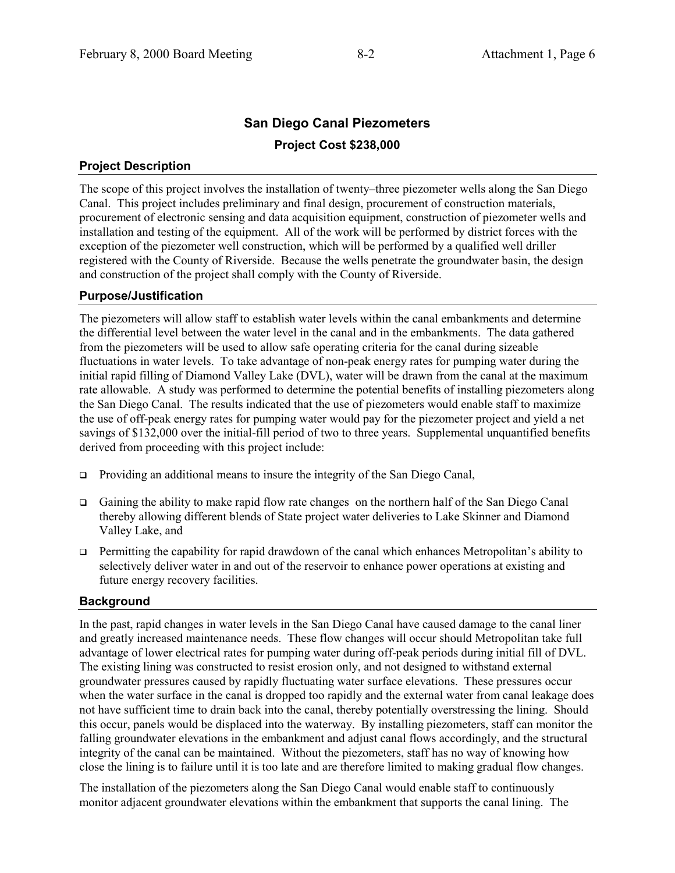# **San Diego Canal Piezometers Project Cost \$238,000**

# **Project Description**

The scope of this project involves the installation of twenty–three piezometer wells along the San Diego Canal. This project includes preliminary and final design, procurement of construction materials, procurement of electronic sensing and data acquisition equipment, construction of piezometer wells and installation and testing of the equipment. All of the work will be performed by district forces with the exception of the piezometer well construction, which will be performed by a qualified well driller registered with the County of Riverside. Because the wells penetrate the groundwater basin, the design and construction of the project shall comply with the County of Riverside.

### **Purpose/Justification**

The piezometers will allow staff to establish water levels within the canal embankments and determine the differential level between the water level in the canal and in the embankments. The data gathered from the piezometers will be used to allow safe operating criteria for the canal during sizeable fluctuations in water levels. To take advantage of non-peak energy rates for pumping water during the initial rapid filling of Diamond Valley Lake (DVL), water will be drawn from the canal at the maximum rate allowable. A study was performed to determine the potential benefits of installing piezometers along the San Diego Canal. The results indicated that the use of piezometers would enable staff to maximize the use of off-peak energy rates for pumping water would pay for the piezometer project and yield a net savings of \$132,000 over the initial-fill period of two to three years. Supplemental unquantified benefits derived from proceeding with this project include:

- ! Providing an additional means to insure the integrity of the San Diego Canal,
- ! Gaining the ability to make rapid flow rate changes on the northern half of the San Diego Canal thereby allowing different blends of State project water deliveries to Lake Skinner and Diamond Valley Lake, and
- ! Permitting the capability for rapid drawdown of the canal which enhances Metropolitan's ability to selectively deliver water in and out of the reservoir to enhance power operations at existing and future energy recovery facilities.

# **Background**

In the past, rapid changes in water levels in the San Diego Canal have caused damage to the canal liner and greatly increased maintenance needs. These flow changes will occur should Metropolitan take full advantage of lower electrical rates for pumping water during off-peak periods during initial fill of DVL. The existing lining was constructed to resist erosion only, and not designed to withstand external groundwater pressures caused by rapidly fluctuating water surface elevations. These pressures occur when the water surface in the canal is dropped too rapidly and the external water from canal leakage does not have sufficient time to drain back into the canal, thereby potentially overstressing the lining. Should this occur, panels would be displaced into the waterway. By installing piezometers, staff can monitor the falling groundwater elevations in the embankment and adjust canal flows accordingly, and the structural integrity of the canal can be maintained. Without the piezometers, staff has no way of knowing how close the lining is to failure until it is too late and are therefore limited to making gradual flow changes.

The installation of the piezometers along the San Diego Canal would enable staff to continuously monitor adjacent groundwater elevations within the embankment that supports the canal lining. The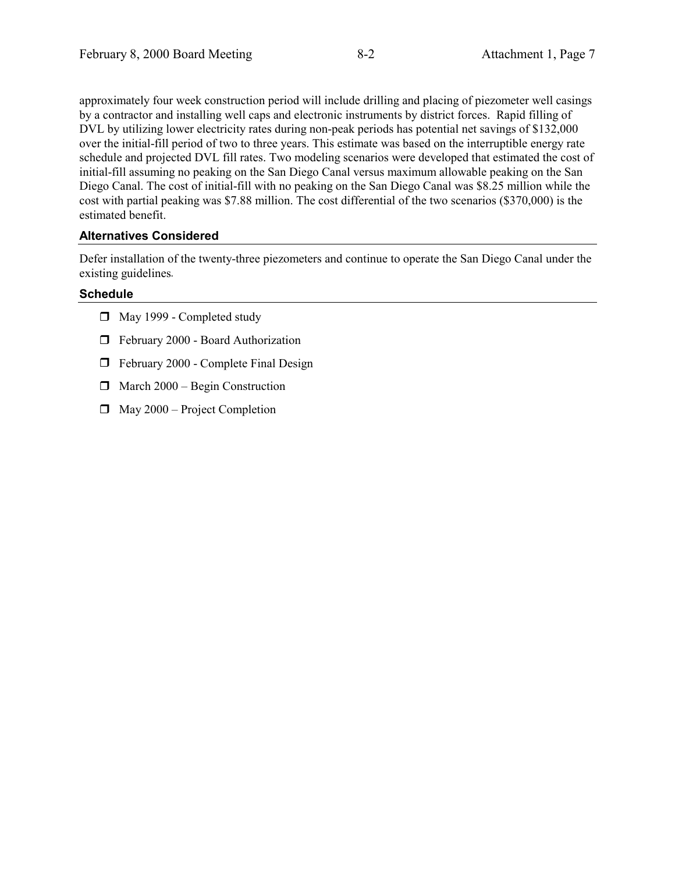approximately four week construction period will include drilling and placing of piezometer well casings by a contractor and installing well caps and electronic instruments by district forces. Rapid filling of DVL by utilizing lower electricity rates during non-peak periods has potential net savings of \$132,000 over the initial-fill period of two to three years. This estimate was based on the interruptible energy rate schedule and projected DVL fill rates. Two modeling scenarios were developed that estimated the cost of initial-fill assuming no peaking on the San Diego Canal versus maximum allowable peaking on the San Diego Canal. The cost of initial-fill with no peaking on the San Diego Canal was \$8.25 million while the cost with partial peaking was \$7.88 million. The cost differential of the two scenarios (\$370,000) is the estimated benefit.

# **Alternatives Considered**

Defer installation of the twenty-three piezometers and continue to operate the San Diego Canal under the existing guidelines*.*

# **Schedule**

- $\Box$  May 1999 Completed study
- $\Box$  February 2000 Board Authorization
- $\Box$  February 2000 Complete Final Design
- $\Box$  March 2000 Begin Construction
- $\Box$  May 2000 Project Completion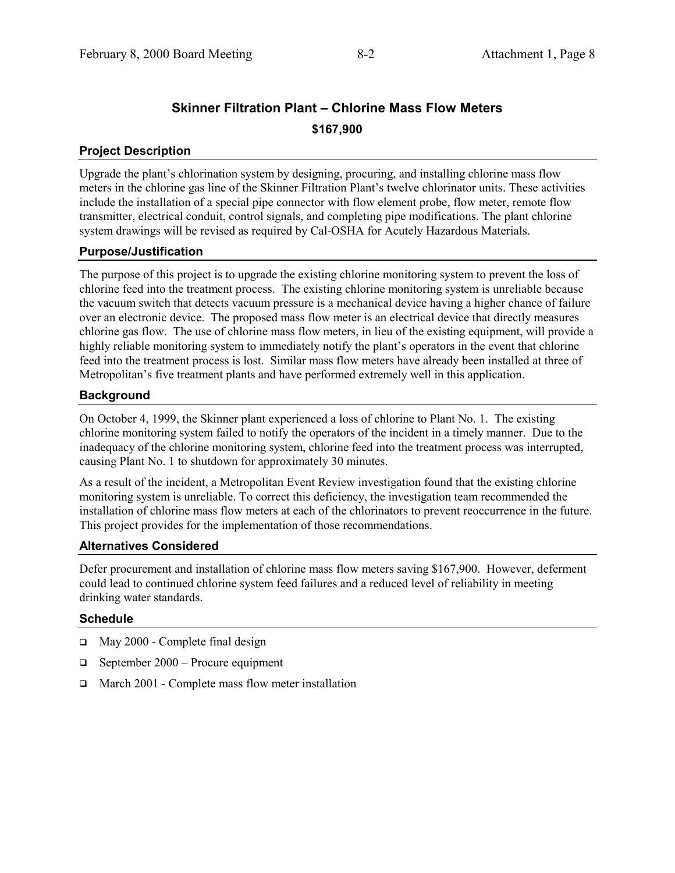# **Skinner Filtration Plant – Chlorine Mass Flow Meters \$167,900**

# **Project Description**

Upgrade the plant's chlorination system by designing, procuring, and installing chlorine mass flow meters in the chlorine gas line of the Skinner Filtration Plant's twelve chlorinator units. These activities include the installation of a special pipe connector with flow element probe, flow meter, remote flow transmitter, electrical conduit, control signals, and completing pipe modifications. The plant chlorine system drawings will be revised as required by Cal-OSHA for Acutely Hazardous Materials.

# **Purpose/Justification**

The purpose of this project is to upgrade the existing chlorine monitoring system to prevent the loss of chlorine feed into the treatment process. The existing chlorine monitoring system is unreliable because the vacuum switch that detects vacuum pressure is a mechanical device having a higher chance of failure over an electronic device. The proposed mass flow meter is an electrical device that directly measures chlorine gas flow. The use of chlorine mass flow meters, in lieu of the existing equipment, will provide a highly reliable monitoring system to immediately notify the plant's operators in the event that chlorine feed into the treatment process is lost. Similar mass flow meters have already been installed at three of Metropolitan's five treatment plants and have performed extremely well in this application.

### **Background**

On October 4, 1999, the Skinner plant experienced a loss of chlorine to Plant No. 1. The existing chlorine monitoring system failed to notify the operators of the incident in a timely manner. Due to the inadequacy of the chlorine monitoring system, chlorine feed into the treatment process was interrupted, causing Plant No. 1 to shutdown for approximately 30 minutes.

As a result of the incident, a Metropolitan Event Review investigation found that the existing chlorine monitoring system is unreliable. To correct this deficiency, the investigation team recommended the installation of chlorine mass flow meters at each of the chlorinators to prevent reoccurrence in the future. This project provides for the implementation of those recommendations.

### **Alternatives Considered**

Defer procurement and installation of chlorine mass flow meters saving \$167,900. However, deferment could lead to continued chlorine system feed failures and a reduced level of reliability in meeting drinking water standards.

### **Schedule**

- □ May 2000 Complete final design
- $\Box$  September 2000 Procure equipment
- $\Box$  March 2001 Complete mass flow meter installation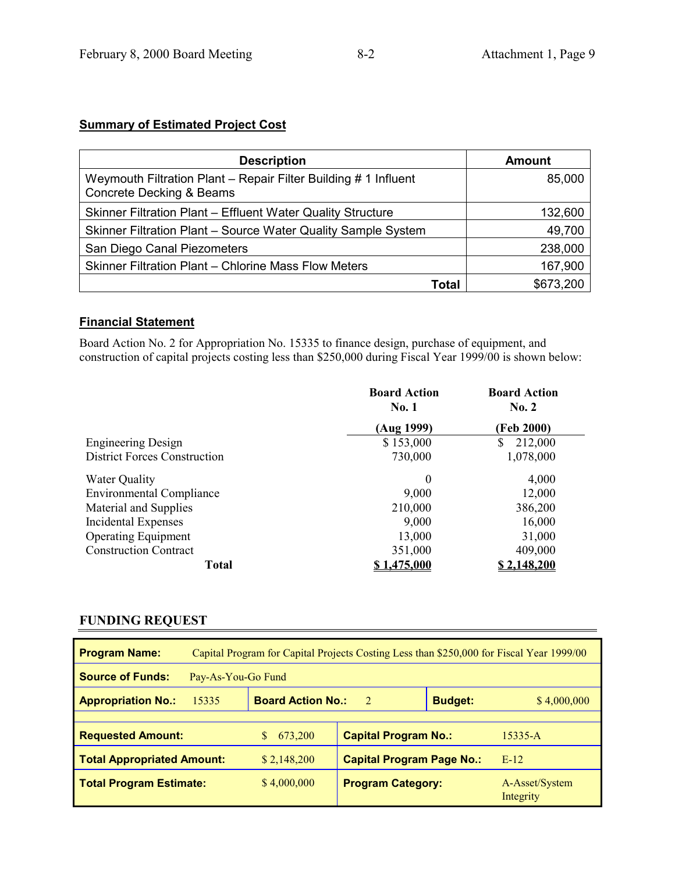# **Summary of Estimated Project Cost**

| <b>Description</b>                                                                                     | Amount    |
|--------------------------------------------------------------------------------------------------------|-----------|
| Weymouth Filtration Plant - Repair Filter Building # 1 Influent<br><b>Concrete Decking &amp; Beams</b> | 85,000    |
| Skinner Filtration Plant - Effluent Water Quality Structure                                            | 132,600   |
| Skinner Filtration Plant - Source Water Quality Sample System                                          | 49,700    |
| San Diego Canal Piezometers                                                                            | 238,000   |
| Skinner Filtration Plant – Chlorine Mass Flow Meters                                                   | 167,900   |
| Total                                                                                                  | \$673,200 |

# **Financial Statement**

Board Action No. 2 for Appropriation No. 15335 to finance design, purchase of equipment, and construction of capital projects costing less than \$250,000 during Fiscal Year 1999/00 is shown below:

|                                     | <b>Board Action</b><br><b>No. 1</b> | <b>Board Action</b><br>No. 2 |
|-------------------------------------|-------------------------------------|------------------------------|
|                                     | (Aug 1999)                          | (Feb 2000)                   |
| <b>Engineering Design</b>           | \$153,000                           | \$<br>212,000                |
| <b>District Forces Construction</b> | 730,000                             | 1,078,000                    |
| <b>Water Quality</b>                | $\theta$                            | 4,000                        |
| <b>Environmental Compliance</b>     | 9,000                               | 12,000                       |
| Material and Supplies               | 210,000                             | 386,200                      |
| Incidental Expenses                 | 9,000                               | 16,000                       |
| <b>Operating Equipment</b>          | 13,000                              | 31,000                       |
| <b>Construction Contract</b>        | 351,000                             | 409,000                      |
| <b>Total</b>                        | 1.475.000                           | <u>\$2.148.200</u>           |

# **FUNDING REQUEST**

| Capital Program for Capital Projects Costing Less than \$250,000 for Fiscal Year 1999/00<br><b>Program Name:</b> |                                                            |                                  |             |                             |  |  |
|------------------------------------------------------------------------------------------------------------------|------------------------------------------------------------|----------------------------------|-------------|-----------------------------|--|--|
| <b>Source of Funds:</b><br>Pay-As-You-Go Fund                                                                    |                                                            |                                  |             |                             |  |  |
| 15335<br><b>Appropriation No.:</b>                                                                               | <b>Board Action No.:</b><br><sup>2</sup><br><b>Budget:</b> |                                  | \$4,000,000 |                             |  |  |
|                                                                                                                  |                                                            |                                  |             |                             |  |  |
| <b>Requested Amount:</b>                                                                                         | 673,200                                                    | <b>Capital Program No.:</b>      |             | $15335 - A$                 |  |  |
| <b>Total Appropriated Amount:</b>                                                                                | \$2,148,200                                                | <b>Capital Program Page No.:</b> |             | $E-12$                      |  |  |
| <b>Total Program Estimate:</b>                                                                                   | \$4,000,000                                                | <b>Program Category:</b>         |             | A-Asset/System<br>Integrity |  |  |